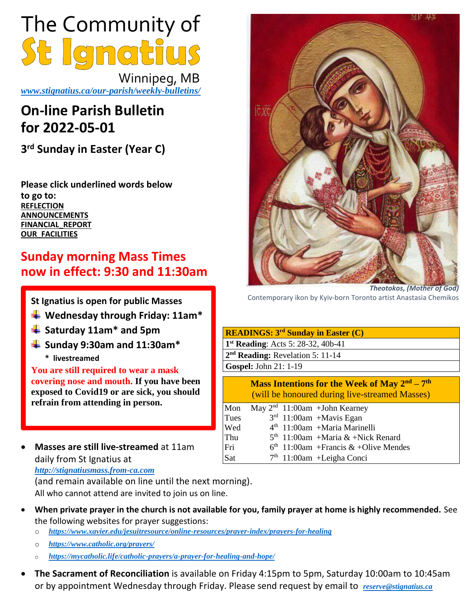

 Winnipeg, MB *[www.stignatius.ca/our-parish/weekly-bulletins/](http://www.stignatius.ca/our-parish/weekly-bulletins/)*

# **On-line Parish Bulletin for 2022-05-01**

**3 rd Sunday in Easter (Year C)**

**Please click underlined words below to go to: [REFLECTION](#page-2-0) [ANNOUNCEMENTS](#page-1-0) [FINANCIAL\\_REPORT](#page-3-0) [OUR\\_FACILITIES](#page-3-1)**

## **Sunday morning Mass Times now in effect: 9:30 and 11:30am**

**St Ignatius is open for public Masses** 

- **Wednesday through Friday: 11am\***
- **Saturday 11am\* and 5pm**
- **Sunday 9:30am and 11:30am\***
	- **\* livestreamed**

**You are still required to wear a mask covering nose and mouth. If you have been exposed to Covid19 or are sick, you should refrain from attending in person.**

• **Masses are still live-streamed** at 11am daily from St Ignatius at *[http://stignatiusmass.from-ca.com](http://stignatiusmass.from-ca.com/)*

(and remain available on line until the next morning). All who cannot attend are invited to join us on line.

- **When private prayer in the church is not available for you, family prayer at home is highly recommended.** See the following websites for prayer suggestions:
	- o *<https://www.xavier.edu/jesuitresource/online-resources/prayer-index/prayers-for-healing>*
	- o *<https://www.catholic.org/prayers/>*
	- o *<https://mycatholic.life/catholic-prayers/a-prayer-for-healing-and-hope/>*
- **The Sacrament of Reconciliation** is available on Friday 4:15pm to 5pm, Saturday 10:00am to 10:45am or by appointment Wednesday through Friday. Please send request by email to *reserve@stignatius.ca*



*Theotokos, (Mother of God)* Contemporary ikon by Kyiv-born Toronto artist Anastasia Chemikos

| <b>READINGS: 3<sup>rd</sup> Sunday in Easter (C)</b> |                                                                                                                     |
|------------------------------------------------------|---------------------------------------------------------------------------------------------------------------------|
| $1st$ Reading: Acts 5: 28-32, 40b-41                 |                                                                                                                     |
| $2nd$ Reading: Revelation 5: 11-14                   |                                                                                                                     |
| <b>Gospel: John 21: 1-19</b>                         |                                                                                                                     |
|                                                      | <b>Mass Intentions for the Week of May <math>2nd - 7th</math></b><br>(will be honoured during live-streamed Masses) |
| Mon                                                  | May $2nd$ 11:00am + John Kearney                                                                                    |
| Tues                                                 | $3rd$ 11:00am +Mavis Egan                                                                                           |
| Wed                                                  | $4th$ 11:00am +Maria Marinelli                                                                                      |
| Thu                                                  | $5th$ 11:00am +Maria & +Nick Renard                                                                                 |
| Fri                                                  | $6th$ 11:00am + Francis & + Olive Mendes                                                                            |
| Sat                                                  | $7th$ 11:00am + Leigha Conci                                                                                        |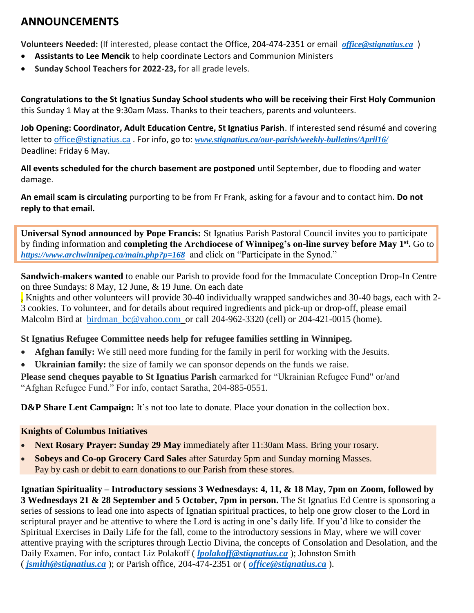## <span id="page-1-0"></span>**ANNOUNCEMENTS**

**Volunteers Needed:** (If interested, please contact the Office, 204-474-2351 or email *[office@stignatius.ca](mailto:office@stignatius.ca)* )

- **Assistants to Lee Mencik** to help coordinate Lectors and Communion Ministers
- **Sunday School Teachers for 2022-23,** for all grade levels.

**Congratulations to the St Ignatius Sunday School students who will be receiving their First Holy Communion** this Sunday 1 May at the 9:30am Mass. Thanks to their teachers, parents and volunteers.

**Job Opening: Coordinator, Adult Education Centre, St Ignatius Parish**. If interested send résumé and covering letter t[o office@stignatius.ca](mailto:office@stignatius.ca) . For info, go to: *[www.stignatius.ca/our-parish/weekly-bulletins/April16/](http://www.stignatius.ca/our-parish/weekly-bulletins/April16/)* Deadline: Friday 6 May.

**All events scheduled for the church basement are postponed** until September, due to flooding and water damage.

**An email scam is circulating** purporting to be from Fr Frank, asking for a favour and to contact him. **Do not reply to that email.** 

**Universal Synod announced by Pope Francis:** St Ignatius Parish Pastoral Council invites you to participate by finding information and **completing the Archdiocese of Winnipeg's on-line survey before May 1st .** Go to *<https://www.archwinnipeg.ca/main.php?p=168>* and click on "Participate in the Synod."

**Sandwich-makers wanted** to enable our Parish to provide food for the Immaculate Conception Drop-In Centre on three Sundays: 8 May, 12 June, & 19 June. On each date

, Knights and other volunteers will provide 30-40 individually wrapped sandwiches and 30-40 bags, each with 2- 3 cookies. To volunteer, and for details about required ingredients and pick-up or drop-off, please email Malcolm Bird at birdman bc@yahoo.com or call 204-962-3320 (cell) or 204-421-0015 (home).

## **St Ignatius Refugee Committee needs help for refugee families settling in Winnipeg.**

- **Afghan family:** We still need more funding for the family in peril for working with the Jesuits.
- **Ukrainian family:** the size of family we can sponsor depends on the funds we raise.

**Please send cheques payable to St Ignatius Parish** earmarked for "Ukrainian Refugee Fund" or/and "Afghan Refugee Fund." For info, contact Saratha, 204-885-0551.

**D&P** Share Lent Campaign: It's not too late to donate. Place your donation in the collection box.

## **Knights of Columbus Initiatives**

- **Next Rosary Prayer: Sunday 29 May** immediately after 11:30am Mass. Bring your rosary.
- **Sobeys and Co-op Grocery Card Sales** after Saturday 5pm and Sunday morning Masses. Pay by cash or debit to earn donations to our Parish from these stores.

**Ignatian Spirituality – Introductory sessions 3 Wednesdays: 4, 11, & 18 May, 7pm on Zoom, followed by 3 Wednesdays 21 & 28 September and 5 October, 7pm in person.** The St Ignatius Ed Centre is sponsoring a series of sessions to lead one into aspects of Ignatian spiritual practices, to help one grow closer to the Lord in scriptural prayer and be attentive to where the Lord is acting in one's daily life. If you'd like to consider the Spiritual Exercises in Daily Life for the fall, come to the introductory sessions in May, where we will cover attentive praying with the scriptures through Lectio Divina, the concepts of Consolation and Desolation, and the Daily Examen. For info, contact Liz Polakoff (*[lpolakoff@stignatius.ca](mailto:lpolakoff@stignatius.ca)*); Johnston Smith ( *[jsmith@stignatius.ca](mailto:jsmith@stignatius.ca)* ); or Parish office, 204-474-2351 or ( *office@stignatius.ca* ).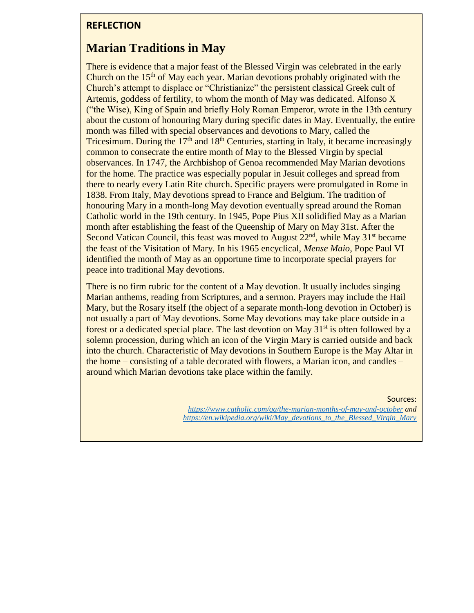## <span id="page-2-0"></span>**REFLECTION**

## **Marian Traditions in May**

There is evidence that a major feast of the Blessed Virgin was celebrated in the early Church on the 15<sup>th</sup> of May each year. Marian devotions probably originated with the Church's attempt to displace or "Christianize" the persistent classical Greek cult of Artemis, goddess of fertility, to whom the month of May was dedicated. Alfonso X ("the Wise), King of Spain and briefly Holy Roman Emperor, wrote in the 13th century about the custom of honouring Mary during specific dates in May. Eventually, the entire month was filled with special observances and devotions to Mary, called the Tricesimum. During the  $17<sup>th</sup>$  and  $18<sup>th</sup>$  Centuries, starting in Italy, it became increasingly common to consecrate the entire month of May to the Blessed Virgin by special observances. In 1747, the Archbishop of Genoa recommended May Marian devotions for the home. The practice was especially popular in Jesuit colleges and spread from there to nearly every Latin Rite church. Specific prayers were promulgated in Rome in 1838. From Italy, May devotions spread to France and Belgium. The tradition of honouring Mary in a month-long May devotion eventually spread around the Roman Catholic world in the 19th century. In 1945, Pope Pius XII solidified May as a Marian month after establishing the feast of the Queenship of Mary on May 31st. After the Second Vatican Council, this feast was moved to August  $22<sup>nd</sup>$ , while May  $31<sup>st</sup>$  became the feast of the Visitation of Mary. In his 1965 encyclical, *Mense Maio*, Pope Paul VI identified the month of May as an opportune time to incorporate special prayers for peace into traditional May devotions.

There is no firm rubric for the content of a May devotion. It usually includes singing Marian anthems, reading from Scriptures, and a sermon. Prayers may include the Hail Mary, but the Rosary itself (the object of a separate month-long devotion in October) is not usually a part of May devotions. Some May devotions may take place outside in a forest or a dedicated special place. The last devotion on May  $31<sup>st</sup>$  is often followed by a solemn procession, during which an icon of the Virgin Mary is carried outside and back into the church. Characteristic of May devotions in Southern Europe is the May Altar in the home – consisting of a table decorated with flowers, a Marian icon, and candles – around which Marian devotions take place within the family.

Sources:

*<https://www.catholic.com/qa/the-marian-months-of-may-and-october> and [https://en.wikipedia.org/wiki/May\\_devotions\\_to\\_the\\_Blessed\\_Virgin\\_Mary](https://en.wikipedia.org/wiki/May_devotions_to_the_Blessed_Virgin_Mary)*